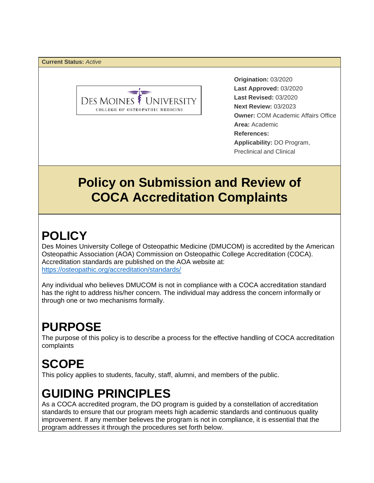**Current Status:** *Active*



**Origination:** 03/2020  **Last Approved:** 03/2020 **Last Revised:** 03/2020 **Next Review:** 03/2023  **Owner:** COM Academic Affairs Office **Area:** Academic **References: Applicability:** DO Program, Preclinical and Clinical

### **Policy on Submission and Review of COCA Accreditation Complaints**

## **POLICY**

Des Moines University College of Osteopathic Medicine (DMUCOM) is accredited by the American Osteopathic Association (AOA) Commission on Osteopathic College Accreditation (COCA). Accreditation standards are published on the AOA website at: https://osteopathic.org/accreditation/standards/

Any individual who believes DMUCOM is not in compliance with a COCA accreditation standard has the right to address his/her concern. The individual may address the concern informally or through one or two mechanisms formally.

## **PURPOSE**

The purpose of this policy is to describe a process for the effective handling of COCA accreditation complaints

# **SCOPE**

This policy applies to students, faculty, staff, alumni, and members of the public.

### **GUIDING PRINCIPLES**

As a COCA accredited program, the DO program is guided by a constellation of accreditation standards to ensure that our program meets high academic standards and continuous quality improvement. If any member believes the program is not in compliance, it is essential that the program addresses it through the procedures set forth below.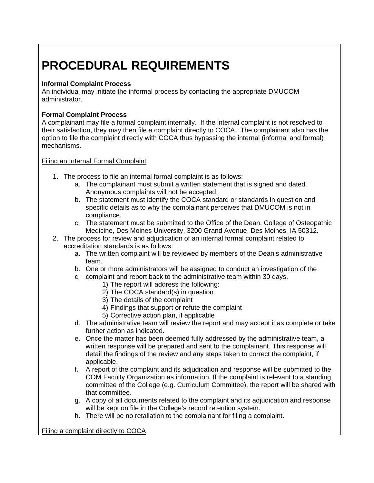## **PROCEDURAL REQUIREMENTS**

#### **Informal Complaint Process**

An individual may initiate the informal process by contacting the appropriate DMUCOM administrator.

### **Formal Complaint Process**

A complainant may file a formal complaint internally. If the internal complaint is not resolved to their satisfaction, they may then file a complaint directly to COCA. The complainant also has the option to file the complaint directly with COCA thus bypassing the internal (informal and formal) mechanisms.

#### Filing an Internal Formal Complaint

- 1. The process to file an internal formal complaint is as follows:
	- a. The complainant must submit a written statement that is signed and dated. Anonymous complaints will not be accepted.
	- b. The statement must identify the COCA standard or standards in question and specific details as to why the complainant perceives that DMUCOM is not in compliance.
	- c. The statement must be submitted to the Office of the Dean, College of Osteopathic Medicine, Des Moines University, 3200 Grand Avenue, Des Moines, IA 50312.
- 2. The process for review and adjudication of an internal formal complaint related to accreditation standards is as follows:
	- a. The written complaint will be reviewed by members of the Dean's administrative team.
	- b. One or more administrators will be assigned to conduct an investigation of the
	- c. complaint and report back to the administrative team within 30 days.
		- 1) The report will address the following:
		- 2) The COCA standard(s) in question
		- 3) The details of the complaint
		- 4) Findings that support or refute the complaint
		- 5) Corrective action plan, if applicable
	- d. The administrative team will review the report and may accept it as complete or take further action as indicated.
	- e. Once the matter has been deemed fully addressed by the administrative team, a written response will be prepared and sent to the complainant. This response will detail the findings of the review and any steps taken to correct the complaint, if applicable.
	- f. A report of the complaint and its adjudication and response will be submitted to the COM Faculty Organization as information. If the complaint is relevant to a standing committee of the College (e.g. Curriculum Committee), the report will be shared with that committee.
	- g. A copy of all documents related to the complaint and its adjudication and response will be kept on file in the College's record retention system.
	- h. There will be no retaliation to the complainant for filing a complaint.

Filing a complaint directly to COCA